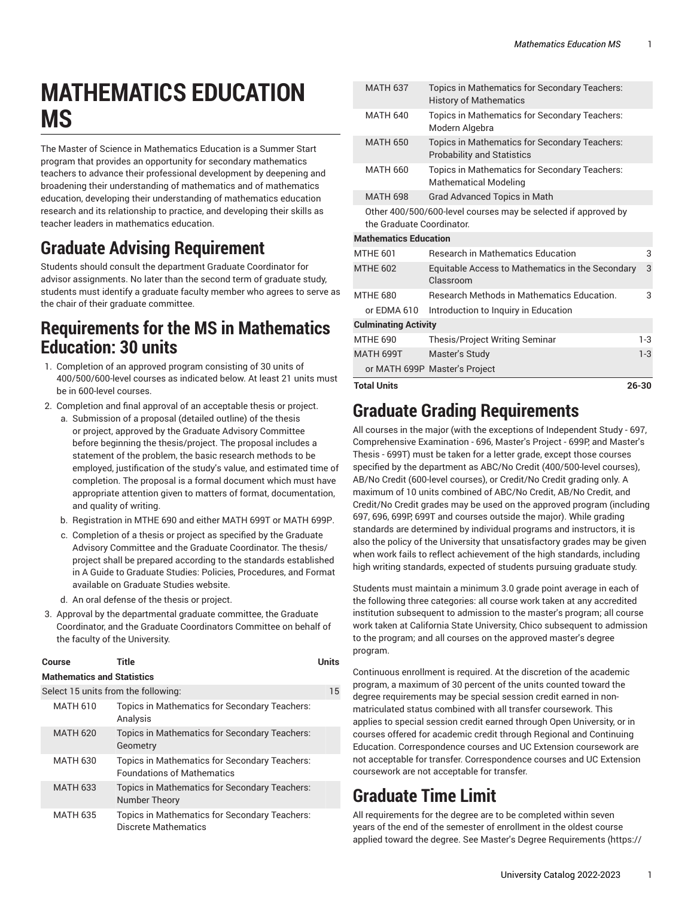# **MATHEMATICS EDUCATION MS**

The Master of Science in Mathematics Education is a Summer Start program that provides an opportunity for secondary mathematics teachers to advance their professional development by deepening and broadening their understanding of mathematics and of mathematics education, developing their understanding of mathematics education research and its relationship to practice, and developing their skills as teacher leaders in mathematics education.

# **Graduate Advising Requirement**

Students should consult the department Graduate Coordinator for advisor assignments. No later than the second term of graduate study, students must identify a graduate faculty member who agrees to serve as the chair of their graduate committee.

#### **Requirements for the MS in Mathematics Education: 30 units**

- 1. Completion of an approved program consisting of 30 units of 400/500/600-level courses as indicated below. At least 21 units must be in 600-level courses.
- 2. Completion and final approval of an acceptable thesis or project.
	- a. Submission of a proposal (detailed outline) of the thesis or project, approved by the Graduate Advisory Committee before beginning the thesis/project. The proposal includes a statement of the problem, the basic research methods to be employed, justification of the study's value, and estimated time of completion. The proposal is a formal document which must have appropriate attention given to matters of format, documentation, and quality of writing.
	- b. Registration in MTHE 690 and either MATH 699T or MATH 699P.
	- c. Completion of a thesis or project as specified by the Graduate Advisory Committee and the Graduate Coordinator. The thesis/ project shall be prepared according to the standards established in A Guide to Graduate Studies: Policies, Procedures, and Format available on Graduate Studies website.
	- d. An oral defense of the thesis or project.
- 3. Approval by the departmental graduate committee, the Graduate Coordinator, and the Graduate Coordinators Committee on behalf of the faculty of the University.

| Course | <b>Title</b> | <b>Units</b> |
|--------|--------------|--------------|
|        |              |              |

#### **Mathematics and Statistics**

| Select 15 units from the following: |                                                                                    |  |
|-------------------------------------|------------------------------------------------------------------------------------|--|
| <b>MATH 610</b>                     | Topics in Mathematics for Secondary Teachers:<br>Analysis                          |  |
| <b>MATH 620</b>                     | Topics in Mathematics for Secondary Teachers:<br>Geometry                          |  |
| <b>MATH 630</b>                     | Topics in Mathematics for Secondary Teachers:<br><b>Foundations of Mathematics</b> |  |
| <b>MATH 633</b>                     | Topics in Mathematics for Secondary Teachers:<br>Number Theory                     |  |
| <b>MATH 635</b>                     | Topics in Mathematics for Secondary Teachers:<br>Discrete Mathematics              |  |

| <b>Total Units</b> |                              |                                                                                             | $26 - 30$ |
|--------------------|------------------------------|---------------------------------------------------------------------------------------------|-----------|
|                    |                              | or MATH 699P Master's Project                                                               |           |
| <b>MATH 699T</b>   |                              | Master's Study                                                                              | $1-3$     |
| MTHF 690           |                              | <b>Thesis/Project Writing Seminar</b>                                                       | $1-3$     |
|                    | <b>Culminating Activity</b>  |                                                                                             |           |
|                    | or EDMA 610                  | Introduction to Inquiry in Education                                                        |           |
| <b>MTHE 680</b>    |                              | <b>Research Methods in Mathematics Education.</b>                                           | 3         |
| <b>MTHE 602</b>    |                              | Equitable Access to Mathematics in the Secondary<br>Classroom                               | 3         |
| <b>MTHE 601</b>    |                              | <b>Research in Mathematics Education</b>                                                    | 3         |
|                    | <b>Mathematics Education</b> |                                                                                             |           |
|                    |                              | Other 400/500/600-level courses may be selected if approved by<br>the Graduate Coordinator. |           |
|                    | <b>MATH 698</b>              | Grad Advanced Topics in Math                                                                |           |
|                    | <b>MATH 660</b>              | Topics in Mathematics for Secondary Teachers:<br><b>Mathematical Modeling</b>               |           |
|                    | <b>MATH 650</b>              | Topics in Mathematics for Secondary Teachers:<br><b>Probability and Statistics</b>          |           |
|                    | <b>MATH 640</b>              | Topics in Mathematics for Secondary Teachers:<br>Modern Algebra                             |           |
|                    | <b>MATH 637</b>              | Topics in Mathematics for Secondary Teachers:<br><b>History of Mathematics</b>              |           |

## **Graduate Grading Requirements**

All courses in the major (with the exceptions of Independent Study - 697, Comprehensive Examination - 696, Master's Project - 699P, and Master's Thesis - 699T) must be taken for a letter grade, except those courses specified by the department as ABC/No Credit (400/500-level courses), AB/No Credit (600-level courses), or Credit/No Credit grading only. A maximum of 10 units combined of ABC/No Credit, AB/No Credit, and Credit/No Credit grades may be used on the approved program (including 697, 696, 699P, 699T and courses outside the major). While grading standards are determined by individual programs and instructors, it is also the policy of the University that unsatisfactory grades may be given when work fails to reflect achievement of the high standards, including high writing standards, expected of students pursuing graduate study.

Students must maintain a minimum 3.0 grade point average in each of the following three categories: all course work taken at any accredited institution subsequent to admission to the master's program; all course work taken at California State University, Chico subsequent to admission to the program; and all courses on the approved master's degree program.

Continuous enrollment is required. At the discretion of the academic program, a maximum of 30 percent of the units counted toward the degree requirements may be special session credit earned in nonmatriculated status combined with all transfer coursework. This applies to special session credit earned through Open University, or in courses offered for academic credit through Regional and Continuing Education. Correspondence courses and UC Extension coursework are not acceptable for transfer. Correspondence courses and UC Extension coursework are not acceptable for transfer.

## **Graduate Time Limit**

All requirements for the degree are to be completed within seven years of the end of the semester of enrollment in the oldest course applied toward the degree. See Master's Degree [Requirements](https://catalog.csuchico.edu/graduate-requirements/masters-degree-requirements/) ([https://](https://catalog.csuchico.edu/graduate-requirements/masters-degree-requirements/)